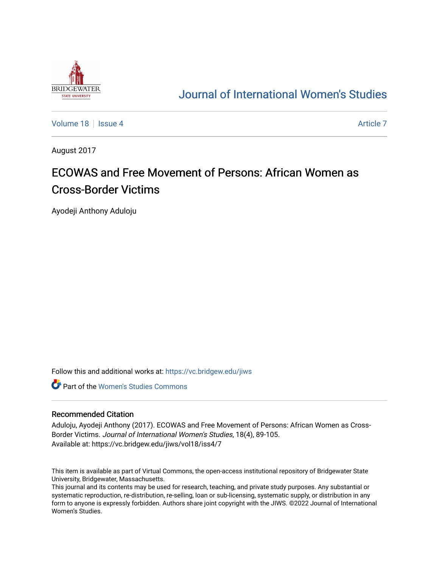

## [Journal of International Women's Studies](https://vc.bridgew.edu/jiws)

[Volume 18](https://vc.bridgew.edu/jiws/vol18) Setus 4 [Article 7](https://vc.bridgew.edu/jiws/vol18/iss4/7) Article 7 Article 7 Article 7 Article 7 Article 7

August 2017

# ECOWAS and Free Movement of Persons: African Women as Cross-Border Victims

Ayodeji Anthony Aduloju

Follow this and additional works at: [https://vc.bridgew.edu/jiws](https://vc.bridgew.edu/jiws?utm_source=vc.bridgew.edu%2Fjiws%2Fvol18%2Fiss4%2F7&utm_medium=PDF&utm_campaign=PDFCoverPages)

**C** Part of the Women's Studies Commons

#### Recommended Citation

Aduloju, Ayodeji Anthony (2017). ECOWAS and Free Movement of Persons: African Women as Cross-Border Victims. Journal of International Women's Studies, 18(4), 89-105. Available at: https://vc.bridgew.edu/jiws/vol18/iss4/7

This item is available as part of Virtual Commons, the open-access institutional repository of Bridgewater State University, Bridgewater, Massachusetts.

This journal and its contents may be used for research, teaching, and private study purposes. Any substantial or systematic reproduction, re-distribution, re-selling, loan or sub-licensing, systematic supply, or distribution in any form to anyone is expressly forbidden. Authors share joint copyright with the JIWS. ©2022 Journal of International Women's Studies.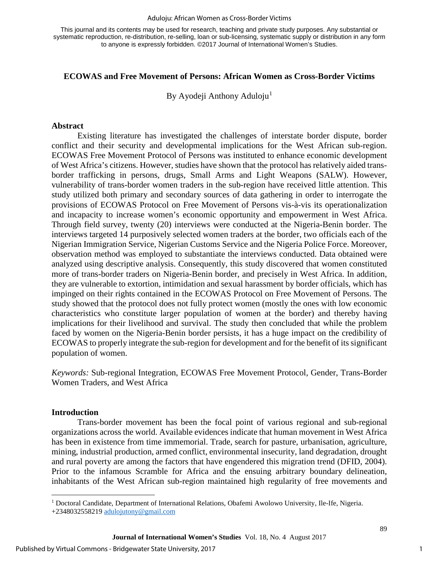#### Aduloju: African Women as Cross-Border Victims

This journal and its contents may be used for research, teaching and private study purposes. Any substantial or systematic reproduction, re-distribution, re-selling, loan or sub-licensing, systematic supply or distribution in any form to anyone is expressly forbidden. ©2017 Journal of International Women's Studies.

## **ECOWAS and Free Movement of Persons: African Women as Cross-Border Victims**

By Ayodeji Anthony Aduloju<sup>[1](#page-1-0)</sup>

#### **Abstract**

Existing literature has investigated the challenges of interstate border dispute, border conflict and their security and developmental implications for the West African sub-region. ECOWAS Free Movement Protocol of Persons was instituted to enhance economic development of West Africa's citizens. However, studies have shown that the protocol has relatively aided transborder trafficking in persons, drugs, Small Arms and Light Weapons (SALW). However, vulnerability of trans-border women traders in the sub-region have received little attention. This study utilized both primary and secondary sources of data gathering in order to interrogate the provisions of ECOWAS Protocol on Free Movement of Persons vis-à-vis its operationalization and incapacity to increase women's economic opportunity and empowerment in West Africa. Through field survey, twenty (20) interviews were conducted at the Nigeria-Benin border. The interviews targeted 14 purposively selected women traders at the border, two officials each of the Nigerian Immigration Service, Nigerian Customs Service and the Nigeria Police Force. Moreover, observation method was employed to substantiate the interviews conducted. Data obtained were analyzed using descriptive analysis. Consequently, this study discovered that women constituted more of trans-border traders on Nigeria-Benin border, and precisely in West Africa. In addition, they are vulnerable to extortion, intimidation and sexual harassment by border officials, which has impinged on their rights contained in the ECOWAS Protocol on Free Movement of Persons. The study showed that the protocol does not fully protect women (mostly the ones with low economic characteristics who constitute larger population of women at the border) and thereby having implications for their livelihood and survival. The study then concluded that while the problem faced by women on the Nigeria-Benin border persists, it has a huge impact on the credibility of ECOWAS to properly integrate the sub-region for development and for the benefit of its significant population of women.

*Keywords:* Sub-regional Integration, ECOWAS Free Movement Protocol, Gender, Trans-Border Women Traders, and West Africa

#### **Introduction**

l

Trans-border movement has been the focal point of various regional and sub-regional organizations across the world. Available evidences indicate that human movement in West Africa has been in existence from time immemorial. Trade, search for pasture, urbanisation, agriculture, mining, industrial production, armed conflict, environmental insecurity, land degradation, drought and rural poverty are among the factors that have engendered this migration trend (DFID, 2004). Prior to the infamous Scramble for Africa and the ensuing arbitrary boundary delineation, inhabitants of the West African sub-region maintained high regularity of free movements and

1

<span id="page-1-0"></span><sup>&</sup>lt;sup>1</sup> Doctoral Candidate, Department of International Relations, Obafemi Awolowo University, Ile-Ife, Nigeria.

<sup>+2348032558219</sup> [adulojutony@gmail.com](mailto:adulojutony@gmail.com)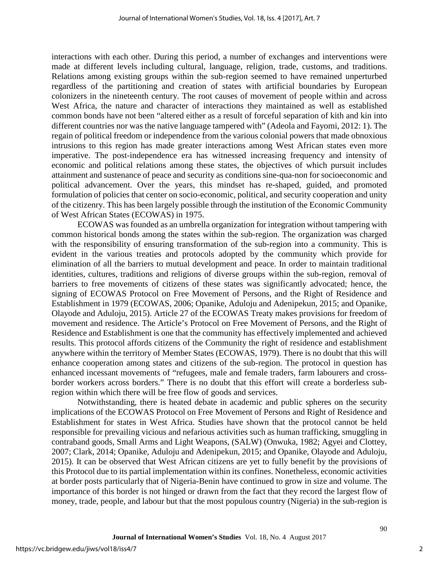interactions with each other. During this period, a number of exchanges and interventions were made at different levels including cultural, language, religion, trade, customs, and traditions. Relations among existing groups within the sub-region seemed to have remained unperturbed regardless of the partitioning and creation of states with artificial boundaries by European colonizers in the nineteenth century. The root causes of movement of people within and across West Africa, the nature and character of interactions they maintained as well as established common bonds have not been "altered either as a result of forceful separation of kith and kin into different countries nor was the native language tampered with" (Adeola and Fayomi, 2012: 1). The regain of political freedom or independence from the various colonial powers that made obnoxious intrusions to this region has made greater interactions among West African states even more imperative. The post-independence era has witnessed increasing frequency and intensity of economic and political relations among these states, the objectives of which pursuit includes attainment and sustenance of peace and security as conditions sine-qua-non for socioeconomic and political advancement. Over the years, this mindset has re-shaped, guided, and promoted formulation of policies that center on socio-economic, political, and security cooperation and unity of the citizenry. This has been largely possible through the institution of the Economic Community of West African States (ECOWAS) in 1975.

ECOWAS was founded as an umbrella organization for integration without tampering with common historical bonds among the states within the sub-region. The organization was charged with the responsibility of ensuring transformation of the sub-region into a community. This is evident in the various treaties and protocols adopted by the community which provide for elimination of all the barriers to mutual development and peace. In order to maintain traditional identities, cultures, traditions and religions of diverse groups within the sub-region, removal of barriers to free movements of citizens of these states was significantly advocated; hence, the signing of ECOWAS Protocol on Free Movement of Persons, and the Right of Residence and Establishment in 1979 (ECOWAS, 2006; Opanike, Aduloju and Adenipekun, 2015; and Opanike, Olayode and Aduloju, 2015). Article 27 of the ECOWAS Treaty makes provisions for freedom of movement and residence. The Article's Protocol on Free Movement of Persons, and the Right of Residence and Establishment is one that the community has effectively implemented and achieved results. This protocol affords citizens of the Community the right of residence and establishment anywhere within the territory of Member States (ECOWAS, 1979). There is no doubt that this will enhance cooperation among states and citizens of the sub-region. The protocol in question has enhanced incessant movements of "refugees, male and female traders, farm labourers and crossborder workers across borders." There is no doubt that this effort will create a borderless subregion within which there will be free flow of goods and services.

Notwithstanding, there is heated debate in academic and public spheres on the security implications of the ECOWAS Protocol on Free Movement of Persons and Right of Residence and Establishment for states in West Africa. Studies have shown that the protocol cannot be held responsible for prevailing vicious and nefarious activities such as human trafficking, smuggling in contraband goods, Small Arms and Light Weapons, (SALW) (Onwuka, 1982; Agyei and Clottey, 2007; Clark, 2014; Opanike, Aduloju and Adenipekun, 2015; and Opanike, Olayode and Aduloju, 2015). It can be observed that West African citizens are yet to fully benefit by the provisions of this Protocol due to its partial implementation within its confines. Nonetheless, economic activities at border posts particularly that of Nigeria-Benin have continued to grow in size and volume. The importance of this border is not hinged or drawn from the fact that they record the largest flow of money, trade, people, and labour but that the most populous country (Nigeria) in the sub-region is

2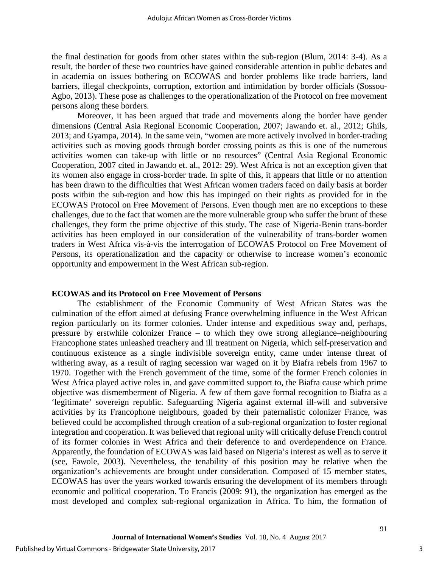the final destination for goods from other states within the sub-region (Blum, 2014: 3-4). As a result, the border of these two countries have gained considerable attention in public debates and in academia on issues bothering on ECOWAS and border problems like trade barriers, land barriers, illegal checkpoints, corruption, extortion and intimidation by border officials (Sossou-Agbo, 2013). These pose as challenges to the operationalization of the Protocol on free movement persons along these borders.

Moreover, it has been argued that trade and movements along the border have gender dimensions (Central Asia Regional Economic Cooperation, 2007; Jawando et. al., 2012; Ghils, 2013; and Gyampa, 2014). In the same vein, "women are more actively involved in border-trading activities such as moving goods through border crossing points as this is one of the numerous activities women can take-up with little or no resources" (Central Asia Regional Economic Cooperation, 2007 cited in Jawando et. al., 2012: 29). West Africa is not an exception given that its women also engage in cross-border trade. In spite of this, it appears that little or no attention has been drawn to the difficulties that West African women traders faced on daily basis at border posts within the sub-region and how this has impinged on their rights as provided for in the ECOWAS Protocol on Free Movement of Persons. Even though men are no exceptions to these challenges, due to the fact that women are the more vulnerable group who suffer the brunt of these challenges, they form the prime objective of this study. The case of Nigeria-Benin trans-border activities has been employed in our consideration of the vulnerability of trans-border women traders in West Africa vis-à-vis the interrogation of ECOWAS Protocol on Free Movement of Persons, its operationalization and the capacity or otherwise to increase women's economic opportunity and empowerment in the West African sub-region.

#### **ECOWAS and its Protocol on Free Movement of Persons**

The establishment of the Economic Community of West African States was the culmination of the effort aimed at defusing France overwhelming influence in the West African region particularly on its former colonies. Under intense and expeditious sway and, perhaps, pressure by erstwhile colonizer France – to which they owe strong allegiance–neighbouring Francophone states unleashed treachery and ill treatment on Nigeria, which self-preservation and continuous existence as a single indivisible sovereign entity, came under intense threat of withering away, as a result of raging secession war waged on it by Biafra rebels from 1967 to 1970. Together with the French government of the time, some of the former French colonies in West Africa played active roles in, and gave committed support to, the Biafra cause which prime objective was dismemberment of Nigeria. A few of them gave formal recognition to Biafra as a 'legitimate' sovereign republic. Safeguarding Nigeria against external ill-will and subversive activities by its Francophone neighbours, goaded by their paternalistic colonizer France, was believed could be accomplished through creation of a sub-regional organization to foster regional integration and cooperation. It was believed that regional unity will critically defuse French control of its former colonies in West Africa and their deference to and overdependence on France. Apparently, the foundation of ECOWAS was laid based on Nigeria's interest as well as to serve it (see, Fawole, 2003). Nevertheless, the tenability of this position may be relative when the organization's achievements are brought under consideration. Composed of 15 member states, ECOWAS has over the years worked towards ensuring the development of its members through economic and political cooperation. To Francis (2009: 91), the organization has emerged as the most developed and complex sub-regional organization in Africa. To him, the formation of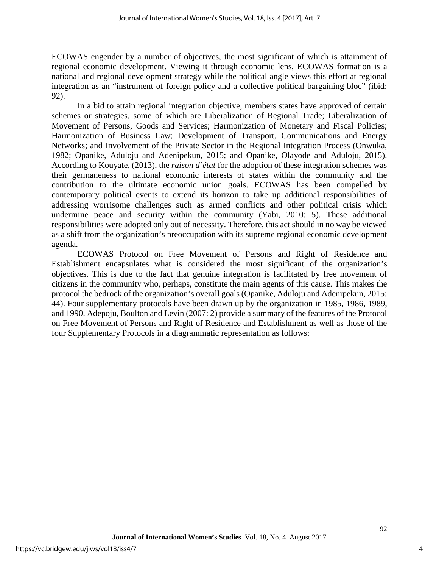ECOWAS engender by a number of objectives, the most significant of which is attainment of regional economic development. Viewing it through economic lens, ECOWAS formation is a national and regional development strategy while the political angle views this effort at regional integration as an "instrument of foreign policy and a collective political bargaining bloc" (ibid: 92).

In a bid to attain regional integration objective, members states have approved of certain schemes or strategies, some of which are Liberalization of Regional Trade; Liberalization of Movement of Persons, Goods and Services; Harmonization of Monetary and Fiscal Policies; Harmonization of Business Law; Development of Transport, Communications and Energy Networks; and Involvement of the Private Sector in the Regional Integration Process (Onwuka, 1982; Opanike, Aduloju and Adenipekun, 2015; and Opanike, Olayode and Aduloju, 2015). According to Kouyate, (2013), the *raison d'état* for the adoption of these integration schemes was their germaneness to national economic interests of states within the community and the contribution to the ultimate economic union goals. ECOWAS has been compelled by contemporary political events to extend its horizon to take up additional responsibilities of addressing worrisome challenges such as armed conflicts and other political crisis which undermine peace and security within the community (Yabi, 2010: 5). These additional responsibilities were adopted only out of necessity. Therefore, this act should in no way be viewed as a shift from the organization's preoccupation with its supreme regional economic development agenda.

ECOWAS Protocol on Free Movement of Persons and Right of Residence and Establishment encapsulates what is considered the most significant of the organization's objectives. This is due to the fact that genuine integration is facilitated by free movement of citizens in the community who, perhaps, constitute the main agents of this cause. This makes the protocol the bedrock of the organization's overall goals (Opanike, Aduloju and Adenipekun, 2015: 44). Four supplementary protocols have been drawn up by the organization in 1985, 1986, 1989, and 1990. Adepoju, Boulton and Levin (2007: 2) provide a summary of the features of the Protocol on Free Movement of Persons and Right of Residence and Establishment as well as those of the four Supplementary Protocols in a diagrammatic representation as follows: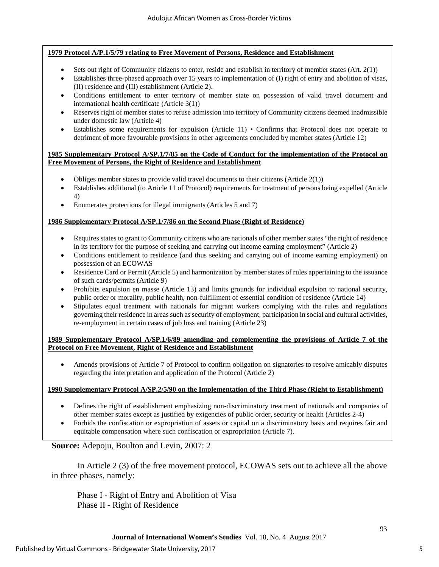#### **1979 Protocol A/P.1/5/79 relating to Free Movement of Persons, Residence and Establishment**

- Sets out right of Community citizens to enter, reside and establish in territory of member states  $(Art. 2(1))$
- Establishes three-phased approach over 15 years to implementation of (I) right of entry and abolition of visas, (II) residence and (III) establishment (Article 2).
- Conditions entitlement to enter territory of member state on possession of valid travel document and international health certificate (Article 3(1))
- Reserves right of member states to refuse admission into territory of Community citizens deemed inadmissible under domestic law (Article 4)
- Establishes some requirements for expulsion (Article 11) Confirms that Protocol does not operate to detriment of more favourable provisions in other agreements concluded by member states (Article 12)

#### **1985 Supplementary Protocol A/SP.1/7/85 on the Code of Conduct for the implementation of the Protocol on Free Movement of Persons, the Right of Residence and Establishment**

- Obliges member states to provide valid travel documents to their citizens (Article  $2(1)$ )
- Establishes additional (to Article 11 of Protocol) requirements for treatment of persons being expelled (Article 4)
- Enumerates protections for illegal immigrants (Articles 5 and 7)

#### **1986 Supplementary Protocol A/SP.1/7/86 on the Second Phase (Right of Residence)**

- Requires states to grant to Community citizens who are nationals of other member states "the right of residence in its territory for the purpose of seeking and carrying out income earning employment" (Article 2)
- Conditions entitlement to residence (and thus seeking and carrying out of income earning employment) on possession of an ECOWAS
- Residence Card or Permit (Article 5) and harmonization by member states of rules appertaining to the issuance of such cards/permits (Article 9)
- Prohibits expulsion en masse (Article 13) and limits grounds for individual expulsion to national security, public order or morality, public health, non-fulfillment of essential condition of residence (Article 14)
- Stipulates equal treatment with nationals for migrant workers complying with the rules and regulations governing their residence in areas such as security of employment, participation in social and cultural activities, re-employment in certain cases of job loss and training (Article 23)

**1989 Supplementary Protocol A/SP.1/6/89 amending and complementing the provisions of Article 7 of the Protocol on Free Movement, Right of Residence and Establishment** 

• Amends provisions of Article 7 of Protocol to confirm obligation on signatories to resolve amicably disputes regarding the interpretation and application of the Protocol (Article 2)

#### **1990 Supplementary Protocol A/SP.2/5/90 on the Implementation of the Third Phase (Right to Establishment)**

- Defines the right of establishment emphasizing non-discriminatory treatment of nationals and companies of other member states except as justified by exigencies of public order, security or health (Articles 2-4)
- Forbids the confiscation or expropriation of assets or capital on a discriminatory basis and requires fair and equitable compensation where such confiscation or expropriation (Article 7).

## **Source:** Adepoju, Boulton and Levin, 2007: 2

In Article 2 (3) of the free movement protocol, ECOWAS sets out to achieve all the above in three phases, namely:

Phase I - Right of Entry and Abolition of Visa Phase II - Right of Residence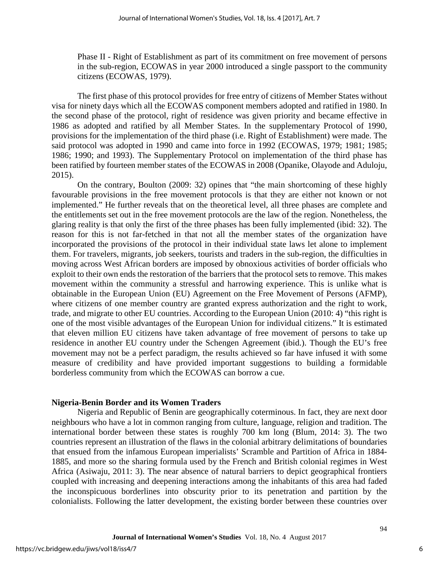Phase II - Right of Establishment as part of its commitment on free movement of persons in the sub-region, ECOWAS in year 2000 introduced a single passport to the community citizens (ECOWAS, 1979).

The first phase of this protocol provides for free entry of citizens of Member States without visa for ninety days which all the ECOWAS component members adopted and ratified in 1980. In the second phase of the protocol, right of residence was given priority and became effective in 1986 as adopted and ratified by all Member States. In the supplementary Protocol of 1990, provisions for the implementation of the third phase (i.e. Right of Establishment) were made. The said protocol was adopted in 1990 and came into force in 1992 (ECOWAS, 1979; 1981; 1985; 1986; 1990; and 1993). The Supplementary Protocol on implementation of the third phase has been ratified by fourteen member states of the ECOWAS in 2008 (Opanike, Olayode and Aduloju, 2015).

On the contrary, Boulton (2009: 32) opines that "the main shortcoming of these highly favourable provisions in the free movement protocols is that they are either not known or not implemented." He further reveals that on the theoretical level, all three phases are complete and the entitlements set out in the free movement protocols are the law of the region. Nonetheless, the glaring reality is that only the first of the three phases has been fully implemented (ibid: 32). The reason for this is not far-fetched in that not all the member states of the organization have incorporated the provisions of the protocol in their individual state laws let alone to implement them. For travelers, migrants, job seekers, tourists and traders in the sub-region, the difficulties in moving across West African borders are imposed by obnoxious activities of border officials who exploit to their own ends the restoration of the barriers that the protocol sets to remove. This makes movement within the community a stressful and harrowing experience. This is unlike what is obtainable in the European Union (EU) Agreement on the Free Movement of Persons (AFMP), where citizens of one member country are granted express authorization and the right to work, trade, and migrate to other EU countries. According to the European Union (2010: 4) "this right is one of the most visible advantages of the European Union for individual citizens." It is estimated that eleven million EU citizens have taken advantage of free movement of persons to take up residence in another EU country under the Schengen Agreement (ibid.). Though the EU's free movement may not be a perfect paradigm, the results achieved so far have infused it with some measure of credibility and have provided important suggestions to building a formidable borderless community from which the ECOWAS can borrow a cue.

#### **Nigeria-Benin Border and its Women Traders**

Nigeria and Republic of Benin are geographically coterminous. In fact, they are next door neighbours who have a lot in common ranging from culture, language, religion and tradition. The international border between these states is roughly 700 km long (Blum, 2014: 3). The two countries represent an illustration of the flaws in the colonial arbitrary delimitations of boundaries that ensued from the infamous European imperialists' Scramble and Partition of Africa in 1884- 1885, and more so the sharing formula used by the French and British colonial regimes in West Africa (Asiwaju, 2011: 3). The near absence of natural barriers to depict geographical frontiers coupled with increasing and deepening interactions among the inhabitants of this area had faded the inconspicuous borderlines into obscurity prior to its penetration and partition by the colonialists. Following the latter development, the existing border between these countries over

6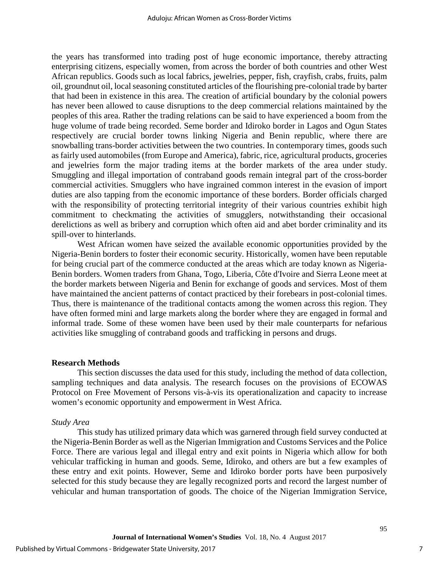the years has transformed into trading post of huge economic importance, thereby attracting enterprising citizens, especially women, from across the border of both countries and other West African republics. Goods such as local fabrics, jewelries, pepper, fish, crayfish, crabs, fruits, palm oil, groundnut oil, local seasoning constituted articles of the flourishing pre-colonial trade by barter that had been in existence in this area. The creation of artificial boundary by the colonial powers has never been allowed to cause disruptions to the deep commercial relations maintained by the peoples of this area. Rather the trading relations can be said to have experienced a boom from the huge volume of trade being recorded. Seme border and Idiroko border in Lagos and Ogun States respectively are crucial border towns linking Nigeria and Benin republic, where there are snowballing trans-border activities between the two countries. In contemporary times, goods such as fairly used automobiles (from Europe and America), fabric, rice, agricultural products, groceries and jewelries form the major trading items at the border markets of the area under study. Smuggling and illegal importation of contraband goods remain integral part of the cross-border commercial activities. Smugglers who have ingrained common interest in the evasion of import duties are also tapping from the economic importance of these borders. Border officials charged with the responsibility of protecting territorial integrity of their various countries exhibit high commitment to checkmating the activities of smugglers, notwithstanding their occasional derelictions as well as bribery and corruption which often aid and abet border criminality and its spill-over to hinterlands.

West African women have seized the available economic opportunities provided by the Nigeria-Benin borders to foster their economic security. Historically, women have been reputable for being crucial part of the commerce conducted at the areas which are today known as Nigeria-Benin borders. Women traders from Ghana, Togo, Liberia, Côte d'Ivoire and Sierra Leone meet at the border markets between Nigeria and Benin for exchange of goods and services. Most of them have maintained the ancient patterns of contact practiced by their forebears in post-colonial times. Thus, there is maintenance of the traditional contacts among the women across this region. They have often formed mini and large markets along the border where they are engaged in formal and informal trade. Some of these women have been used by their male counterparts for nefarious activities like smuggling of contraband goods and trafficking in persons and drugs.

#### **Research Methods**

This section discusses the data used for this study, including the method of data collection, sampling techniques and data analysis. The research focuses on the provisions of ECOWAS Protocol on Free Movement of Persons vis-à-vis its operationalization and capacity to increase women's economic opportunity and empowerment in West Africa.

#### *Study Area*

This study has utilized primary data which was garnered through field survey conducted at the Nigeria-Benin Border as well as the Nigerian Immigration and Customs Services and the Police Force. There are various legal and illegal entry and exit points in Nigeria which allow for both vehicular trafficking in human and goods. Seme, Idiroko, and others are but a few examples of these entry and exit points. However, Seme and Idiroko border ports have been purposively selected for this study because they are legally recognized ports and record the largest number of vehicular and human transportation of goods. The choice of the Nigerian Immigration Service,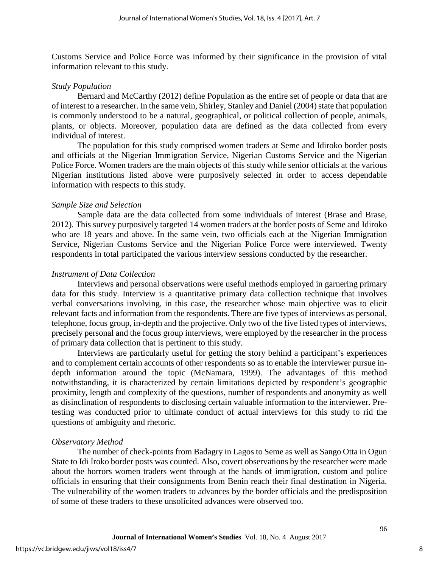Customs Service and Police Force was informed by their significance in the provision of vital information relevant to this study.

#### *Study Population*

Bernard and McCarthy (2012) define Population as the entire set of people or data that are of interest to a researcher. In the same vein, Shirley, Stanley and Daniel (2004) state that population is commonly understood to be a natural, geographical, or political collection of people, animals, plants, or objects. Moreover, population data are defined as the data collected from every individual of interest.

The population for this study comprised women traders at Seme and Idiroko border posts and officials at the Nigerian Immigration Service, Nigerian Customs Service and the Nigerian Police Force. Women traders are the main objects of this study while senior officials at the various Nigerian institutions listed above were purposively selected in order to access dependable information with respects to this study.

#### *Sample Size and Selection*

Sample data are the data collected from some individuals of interest (Brase and Brase, 2012). This survey purposively targeted 14 women traders at the border posts of Seme and Idiroko who are 18 years and above. In the same vein, two officials each at the Nigerian Immigration Service, Nigerian Customs Service and the Nigerian Police Force were interviewed. Twenty respondents in total participated the various interview sessions conducted by the researcher.

### *Instrument of Data Collection*

Interviews and personal observations were useful methods employed in garnering primary data for this study. Interview is a quantitative primary data collection technique that involves verbal conversations involving, in this case, the researcher whose main objective was to elicit relevant facts and information from the respondents. There are five types of interviews as personal, telephone, focus group, in-depth and the projective. Only two of the five listed types of interviews, precisely personal and the focus group interviews, were employed by the researcher in the process of primary data collection that is pertinent to this study.

Interviews are particularly useful for getting the story behind a participant's experiences and to complement certain accounts of other respondents so as to enable the interviewer pursue indepth information around the topic (McNamara, 1999). The advantages of this method notwithstanding, it is characterized by certain limitations depicted by respondent's geographic proximity, length and complexity of the questions, number of respondents and anonymity as well as disinclination of respondents to disclosing certain valuable information to the interviewer. Pretesting was conducted prior to ultimate conduct of actual interviews for this study to rid the questions of ambiguity and rhetoric.

#### *Observatory Method*

The number of check-points from Badagry in Lagos to Seme as well as Sango Otta in Ogun State to Idi Iroko border posts was counted. Also, covert observations by the researcher were made about the horrors women traders went through at the hands of immigration, custom and police officials in ensuring that their consignments from Benin reach their final destination in Nigeria. The vulnerability of the women traders to advances by the border officials and the predisposition of some of these traders to these unsolicited advances were observed too.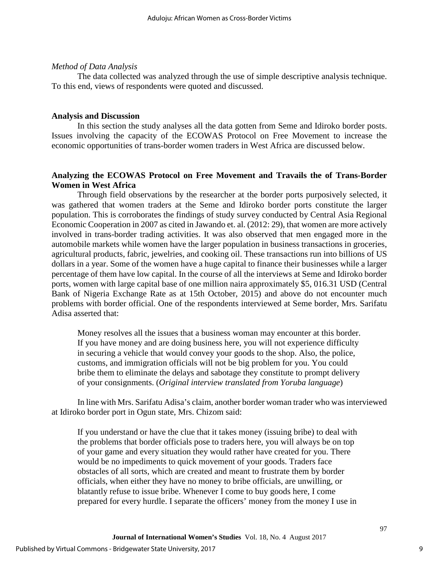#### *Method of Data Analysis*

The data collected was analyzed through the use of simple descriptive analysis technique. To this end, views of respondents were quoted and discussed.

#### **Analysis and Discussion**

In this section the study analyses all the data gotten from Seme and Idiroko border posts. Issues involving the capacity of the ECOWAS Protocol on Free Movement to increase the economic opportunities of trans-border women traders in West Africa are discussed below.

## **Analyzing the ECOWAS Protocol on Free Movement and Travails the of Trans-Border Women in West Africa**

Through field observations by the researcher at the border ports purposively selected, it was gathered that women traders at the Seme and Idiroko border ports constitute the larger population. This is corroborates the findings of study survey conducted by Central Asia Regional Economic Cooperation in 2007 as cited in Jawando et. al. (2012: 29), that women are more actively involved in trans-border trading activities. It was also observed that men engaged more in the automobile markets while women have the larger population in business transactions in groceries, agricultural products, fabric, jewelries, and cooking oil. These transactions run into billions of US dollars in a year. Some of the women have a huge capital to finance their businesses while a larger percentage of them have low capital. In the course of all the interviews at Seme and Idiroko border ports, women with large capital base of one million naira approximately \$5, 016.31 USD (Central Bank of Nigeria Exchange Rate as at 15th October, 2015) and above do not encounter much problems with border official. One of the respondents interviewed at Seme border, Mrs. Sarifatu Adisa asserted that:

Money resolves all the issues that a business woman may encounter at this border. If you have money and are doing business here, you will not experience difficulty in securing a vehicle that would convey your goods to the shop. Also, the police, customs, and immigration officials will not be big problem for you. You could bribe them to eliminate the delays and sabotage they constitute to prompt delivery of your consignments. (*Original interview translated from Yoruba language*)

In line with Mrs. Sarifatu Adisa's claim, another border woman trader who was interviewed at Idiroko border port in Ogun state, Mrs. Chizom said:

If you understand or have the clue that it takes money (issuing bribe) to deal with the problems that border officials pose to traders here, you will always be on top of your game and every situation they would rather have created for you. There would be no impediments to quick movement of your goods. Traders face obstacles of all sorts, which are created and meant to frustrate them by border officials, when either they have no money to bribe officials, are unwilling, or blatantly refuse to issue bribe. Whenever I come to buy goods here, I come prepared for every hurdle. I separate the officers' money from the money I use in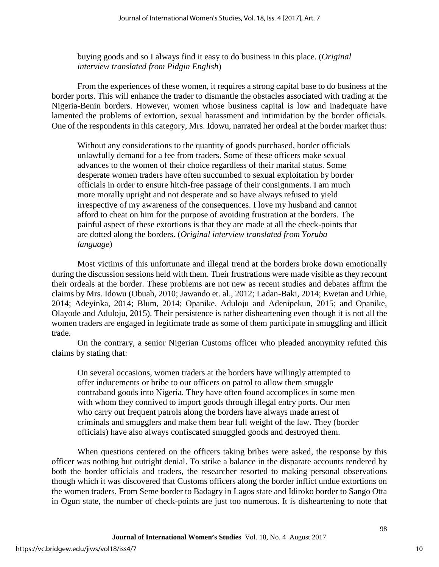buying goods and so I always find it easy to do business in this place. (*Original interview translated from Pidgin English*)

From the experiences of these women, it requires a strong capital base to do business at the border ports. This will enhance the trader to dismantle the obstacles associated with trading at the Nigeria-Benin borders. However, women whose business capital is low and inadequate have lamented the problems of extortion, sexual harassment and intimidation by the border officials. One of the respondents in this category, Mrs. Idowu, narrated her ordeal at the border market thus:

Without any considerations to the quantity of goods purchased, border officials unlawfully demand for a fee from traders. Some of these officers make sexual advances to the women of their choice regardless of their marital status. Some desperate women traders have often succumbed to sexual exploitation by border officials in order to ensure hitch-free passage of their consignments. I am much more morally upright and not desperate and so have always refused to yield irrespective of my awareness of the consequences. I love my husband and cannot afford to cheat on him for the purpose of avoiding frustration at the borders. The painful aspect of these extortions is that they are made at all the check-points that are dotted along the borders. (*Original interview translated from Yoruba language*)

Most victims of this unfortunate and illegal trend at the borders broke down emotionally during the discussion sessions held with them. Their frustrations were made visible as they recount their ordeals at the border. These problems are not new as recent studies and debates affirm the claims by Mrs. Idowu (Obuah, 2010; Jawando et. al., 2012; Ladan-Baki, 2014; Ewetan and Urhie, 2014; Adeyinka, 2014; Blum, 2014; Opanike, Aduloju and Adenipekun, 2015; and Opanike, Olayode and Aduloju, 2015). Their persistence is rather disheartening even though it is not all the women traders are engaged in legitimate trade as some of them participate in smuggling and illicit trade.

On the contrary, a senior Nigerian Customs officer who pleaded anonymity refuted this claims by stating that:

On several occasions, women traders at the borders have willingly attempted to offer inducements or bribe to our officers on patrol to allow them smuggle contraband goods into Nigeria. They have often found accomplices in some men with whom they connived to import goods through illegal entry ports. Our men who carry out frequent patrols along the borders have always made arrest of criminals and smugglers and make them bear full weight of the law. They (border officials) have also always confiscated smuggled goods and destroyed them.

When questions centered on the officers taking bribes were asked, the response by this officer was nothing but outright denial. To strike a balance in the disparate accounts rendered by both the border officials and traders, the researcher resorted to making personal observations though which it was discovered that Customs officers along the border inflict undue extortions on the women traders. From Seme border to Badagry in Lagos state and Idiroko border to Sango Otta in Ogun state, the number of check-points are just too numerous. It is disheartening to note that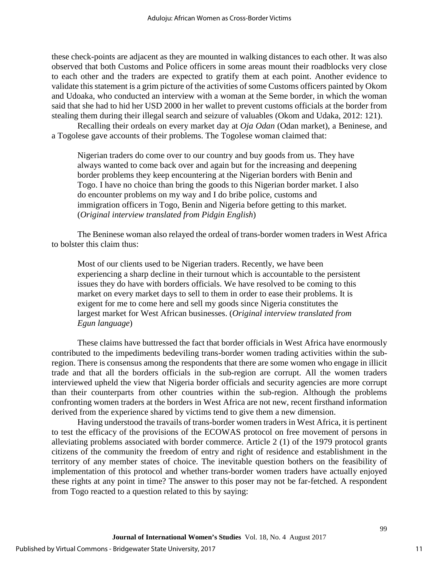these check-points are adjacent as they are mounted in walking distances to each other. It was also observed that both Customs and Police officers in some areas mount their roadblocks very close to each other and the traders are expected to gratify them at each point. Another evidence to validate this statement is a grim picture of the activities of some Customs officers painted by Okom and Udoaka, who conducted an interview with a woman at the Seme border, in which the woman said that she had to hid her USD 2000 in her wallet to prevent customs officials at the border from stealing them during their illegal search and seizure of valuables (Okom and Udaka, 2012: 121).

Recalling their ordeals on every market day at *Oja Odan* (Odan market), a Beninese, and a Togolese gave accounts of their problems. The Togolese woman claimed that:

Nigerian traders do come over to our country and buy goods from us. They have always wanted to come back over and again but for the increasing and deepening border problems they keep encountering at the Nigerian borders with Benin and Togo. I have no choice than bring the goods to this Nigerian border market. I also do encounter problems on my way and I do bribe police, customs and immigration officers in Togo, Benin and Nigeria before getting to this market. (*Original interview translated from Pidgin English*)

The Beninese woman also relayed the ordeal of trans-border women traders in West Africa to bolster this claim thus:

Most of our clients used to be Nigerian traders. Recently, we have been experiencing a sharp decline in their turnout which is accountable to the persistent issues they do have with borders officials. We have resolved to be coming to this market on every market days to sell to them in order to ease their problems. It is exigent for me to come here and sell my goods since Nigeria constitutes the largest market for West African businesses. (*Original interview translated from Egun language*)

These claims have buttressed the fact that border officials in West Africa have enormously contributed to the impediments bedeviling trans-border women trading activities within the subregion. There is consensus among the respondents that there are some women who engage in illicit trade and that all the borders officials in the sub-region are corrupt. All the women traders interviewed upheld the view that Nigeria border officials and security agencies are more corrupt than their counterparts from other countries within the sub-region. Although the problems confronting women traders at the borders in West Africa are not new, recent firsthand information derived from the experience shared by victims tend to give them a new dimension.

Having understood the travails of trans-border women traders in West Africa, it is pertinent to test the efficacy of the provisions of the ECOWAS protocol on free movement of persons in alleviating problems associated with border commerce. Article 2 (1) of the 1979 protocol grants citizens of the community the freedom of entry and right of residence and establishment in the territory of any member states of choice. The inevitable question bothers on the feasibility of implementation of this protocol and whether trans-border women traders have actually enjoyed these rights at any point in time? The answer to this poser may not be far-fetched. A respondent from Togo reacted to a question related to this by saying: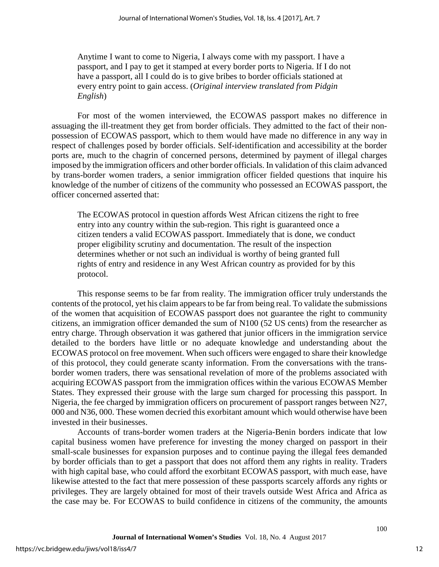Anytime I want to come to Nigeria, I always come with my passport. I have a passport, and I pay to get it stamped at every border ports to Nigeria. If I do not have a passport, all I could do is to give bribes to border officials stationed at every entry point to gain access. (*Original interview translated from Pidgin English*)

For most of the women interviewed, the ECOWAS passport makes no difference in assuaging the ill-treatment they get from border officials. They admitted to the fact of their nonpossession of ECOWAS passport, which to them would have made no difference in any way in respect of challenges posed by border officials. Self-identification and accessibility at the border ports are, much to the chagrin of concerned persons, determined by payment of illegal charges imposed by the immigration officers and other border officials. In validation of this claim advanced by trans-border women traders, a senior immigration officer fielded questions that inquire his knowledge of the number of citizens of the community who possessed an ECOWAS passport, the officer concerned asserted that:

The ECOWAS protocol in question affords West African citizens the right to free entry into any country within the sub-region. This right is guaranteed once a citizen tenders a valid ECOWAS passport. Immediately that is done, we conduct proper eligibility scrutiny and documentation. The result of the inspection determines whether or not such an individual is worthy of being granted full rights of entry and residence in any West African country as provided for by this protocol.

This response seems to be far from reality. The immigration officer truly understands the contents of the protocol, yet his claim appears to be far from being real. To validate the submissions of the women that acquisition of ECOWAS passport does not guarantee the right to community citizens, an immigration officer demanded the sum of N100 (52 US cents) from the researcher as entry charge. Through observation it was gathered that junior officers in the immigration service detailed to the borders have little or no adequate knowledge and understanding about the ECOWAS protocol on free movement. When such officers were engaged to share their knowledge of this protocol, they could generate scanty information. From the conversations with the transborder women traders, there was sensational revelation of more of the problems associated with acquiring ECOWAS passport from the immigration offices within the various ECOWAS Member States. They expressed their grouse with the large sum charged for processing this passport. In Nigeria, the fee charged by immigration officers on procurement of passport ranges between N27, 000 and N36, 000. These women decried this exorbitant amount which would otherwise have been invested in their businesses.

Accounts of trans-border women traders at the Nigeria-Benin borders indicate that low capital business women have preference for investing the money charged on passport in their small-scale businesses for expansion purposes and to continue paying the illegal fees demanded by border officials than to get a passport that does not afford them any rights in reality. Traders with high capital base, who could afford the exorbitant ECOWAS passport, with much ease, have likewise attested to the fact that mere possession of these passports scarcely affords any rights or privileges. They are largely obtained for most of their travels outside West Africa and Africa as the case may be. For ECOWAS to build confidence in citizens of the community, the amounts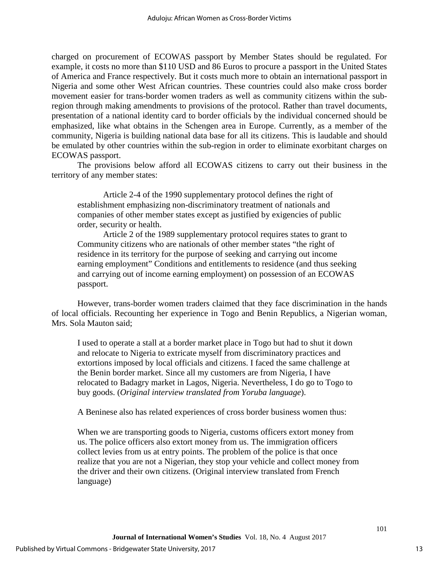charged on procurement of ECOWAS passport by Member States should be regulated. For example, it costs no more than \$110 USD and 86 Euros to procure a passport in the United States of America and France respectively. But it costs much more to obtain an international passport in Nigeria and some other West African countries. These countries could also make cross border movement easier for trans-border women traders as well as community citizens within the subregion through making amendments to provisions of the protocol. Rather than travel documents, presentation of a national identity card to border officials by the individual concerned should be emphasized, like what obtains in the Schengen area in Europe. Currently, as a member of the community, Nigeria is building national data base for all its citizens. This is laudable and should be emulated by other countries within the sub-region in order to eliminate exorbitant charges on ECOWAS passport.

The provisions below afford all ECOWAS citizens to carry out their business in the territory of any member states:

Article 2-4 of the 1990 supplementary protocol defines the right of establishment emphasizing non-discriminatory treatment of nationals and companies of other member states except as justified by exigencies of public order, security or health.

Article 2 of the 1989 supplementary protocol requires states to grant to Community citizens who are nationals of other member states "the right of residence in its territory for the purpose of seeking and carrying out income earning employment" Conditions and entitlements to residence (and thus seeking and carrying out of income earning employment) on possession of an ECOWAS passport.

However, trans-border women traders claimed that they face discrimination in the hands of local officials. Recounting her experience in Togo and Benin Republics, a Nigerian woman, Mrs. Sola Mauton said;

I used to operate a stall at a border market place in Togo but had to shut it down and relocate to Nigeria to extricate myself from discriminatory practices and extortions imposed by local officials and citizens. I faced the same challenge at the Benin border market. Since all my customers are from Nigeria, I have relocated to Badagry market in Lagos, Nigeria. Nevertheless, I do go to Togo to buy goods. (*Original interview translated from Yoruba language*).

A Beninese also has related experiences of cross border business women thus:

When we are transporting goods to Nigeria, customs officers extort money from us. The police officers also extort money from us. The immigration officers collect levies from us at entry points. The problem of the police is that once realize that you are not a Nigerian, they stop your vehicle and collect money from the driver and their own citizens. (Original interview translated from French language)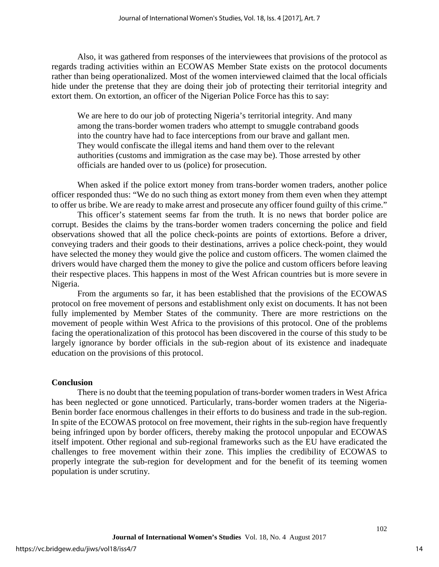Also, it was gathered from responses of the interviewees that provisions of the protocol as regards trading activities within an ECOWAS Member State exists on the protocol documents rather than being operationalized. Most of the women interviewed claimed that the local officials hide under the pretense that they are doing their job of protecting their territorial integrity and extort them. On extortion, an officer of the Nigerian Police Force has this to say:

We are here to do our job of protecting Nigeria's territorial integrity. And many among the trans-border women traders who attempt to smuggle contraband goods into the country have had to face interceptions from our brave and gallant men. They would confiscate the illegal items and hand them over to the relevant authorities (customs and immigration as the case may be). Those arrested by other officials are handed over to us (police) for prosecution.

When asked if the police extort money from trans-border women traders, another police officer responded thus: "We do no such thing as extort money from them even when they attempt to offer us bribe. We are ready to make arrest and prosecute any officer found guilty of this crime."

This officer's statement seems far from the truth. It is no news that border police are corrupt. Besides the claims by the trans-border women traders concerning the police and field observations showed that all the police check-points are points of extortions. Before a driver, conveying traders and their goods to their destinations, arrives a police check-point, they would have selected the money they would give the police and custom officers. The women claimed the drivers would have charged them the money to give the police and custom officers before leaving their respective places. This happens in most of the West African countries but is more severe in Nigeria.

From the arguments so far, it has been established that the provisions of the ECOWAS protocol on free movement of persons and establishment only exist on documents. It has not been fully implemented by Member States of the community. There are more restrictions on the movement of people within West Africa to the provisions of this protocol. One of the problems facing the operationalization of this protocol has been discovered in the course of this study to be largely ignorance by border officials in the sub-region about of its existence and inadequate education on the provisions of this protocol.

#### **Conclusion**

There is no doubt that the teeming population of trans-border women traders in West Africa has been neglected or gone unnoticed. Particularly, trans-border women traders at the Nigeria-Benin border face enormous challenges in their efforts to do business and trade in the sub-region. In spite of the ECOWAS protocol on free movement, their rights in the sub-region have frequently being infringed upon by border officers, thereby making the protocol unpopular and ECOWAS itself impotent. Other regional and sub-regional frameworks such as the EU have eradicated the challenges to free movement within their zone. This implies the credibility of ECOWAS to properly integrate the sub-region for development and for the benefit of its teeming women population is under scrutiny.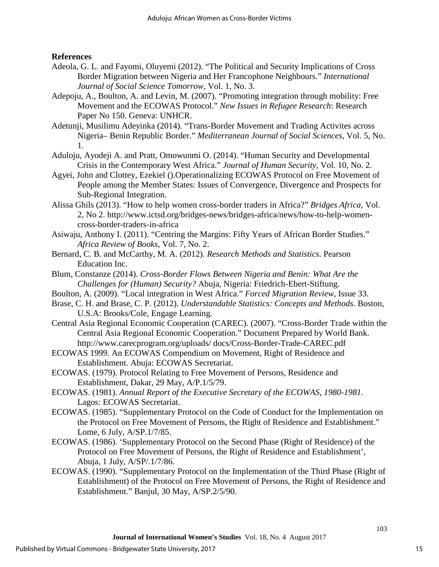## **References**

- Adeola, G. L. and Fayomi, Oluyemi (2012). "The Political and Security Implications of Cross Border Migration between Nigeria and Her Francophone Neighbours." *International Journal of Social Science Tomorrow,* Vol. 1, No. 3.
- Adepoju, A., Boulton, A. and Levin, M. (2007). "Promoting integration through mobility: Free Movement and the ECOWAS Protocol." *New Issues in Refugee Research*: Research Paper No 150. Geneva: UNHCR.
- Adetunji, Musilimu Adeyinka (2014). "Trans-Border Movement and Trading Activites across Nigeria– Benin Republic Border." *Mediterranean Journal of Social Sciences*, Vol. 5, No. 1.
- Aduloju, Ayodeji A. and Pratt, Omowunmi O. (2014). "Human Security and Developmental Crisis in the Contemporary West Africa." *Journal of Human Security,* Vol. 10, No. 2.
- Agyei, John and Clottey, Ezekiel ().Operationalizing ECOWAS Protocol on Free Movement of People among the Member States: Issues of Convergence, Divergence and Prospects for Sub-Regional Integration.
- [Alissa Ghils](http://www.ictsd.org/about-us/alissa-ghils) (2013). "How to help women cross-border traders in Africa?" *[Bridges Africa,](http://www.ictsd.org/bridges-news/Bridges-Africa)* Vol. 2, No 2. http://www.ictsd.org/bridges-news/bridges-africa/news/how-to-help-womencross-border-traders-in-africa
- Asiwaju, Anthony I. (2011). "Centring the Margins: Fifty Years of African Border Studies." *Africa Review of Books,* Vol. 7, No. 2.
- Bernard, C. B. and McCarthy, M. A. (2012). *Research Methods and Statistics*. Pearson Education Inc.
- Blum, Constanze (2014). *Cross-Border Flows Between Nigeria and Benin: What Are the Challenges for (Human) Security?* Abuja, Nigeria: Friedrich-Ebert-Stiftung.
- Boulton, A. (2009). "Local integration in West Africa." *Forced Migration Review,* Issue 33.
- Brase, C. H. and Brase, C. P. (2012). *Understandable Statistics: Concepts and Methods.* Boston, U.S.A: Brooks/Cole, Engage Learning.
- Central Asia Regional Economic Cooperation (CAREC). (2007). "Cross-Border Trade within the Central Asia Regional Economic Cooperation." Document Prepared by World Bank. http://www.carecprogram.org/uploads/ docs/Cross-Border-Trade-CAREC.pdf
- ECOWAS 1999. An ECOWAS Compendium on Movement, Right of Residence and Establishment. Abuja: ECOWAS Secretariat.
- ECOWAS. (1979). Protocol Relating to Free Movement of Persons, Residence and Establishment, Dakar, 29 May, A/P.1/5/79.
- ECOWAS. (1981). *Annual Report of the Executive Secretary of the ECOWAS, 1980-1981.* Lagos: ECOWAS Secretariat.
- ECOWAS. (1985). "Supplementary Protocol on the Code of Conduct for the Implementation on the Protocol on Free Movement of Persons, the Right of Residence and Establishment." Lome, 6 July, A/SP.1/7/85.
- ECOWAS. (1986). 'Supplementary Protocol on the Second Phase (Right of Residence) of the Protocol on Free Movement of Persons, the Right of Residence and Establishment', Abuja, 1 July, A/SP/.1/7/86.
- ECOWAS. (1990). "Supplementary Protocol on the Implementation of the Third Phase (Right of Establishment) of the Protocol on Free Movement of Persons, the Right of Residence and Establishment." Banjul, 30 May, A/SP.2/5/90.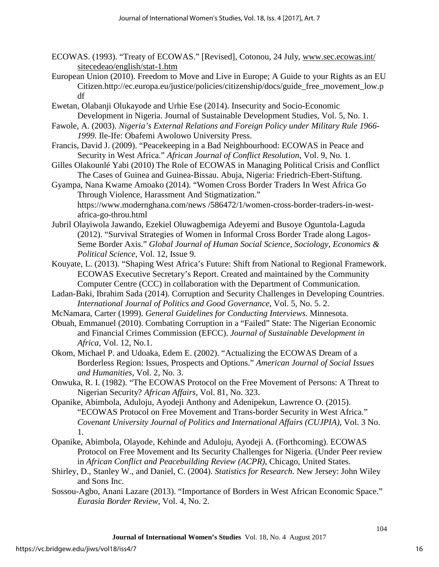- ECOWAS. (1993). "Treaty of ECOWAS." [Revised], Cotonou, 24 July, [www.sec.ecowas.int/](http://www.sec.ecowas.int/%20sitecedeao/english/stat-1.htm)  [sitecedeao/english/stat-1.htm](http://www.sec.ecowas.int/%20sitecedeao/english/stat-1.htm)
- European Union (2010). Freedom to Move and Live in Europe; A Guide to your Rights as an EU Citizen.http://ec.europa.eu/justice/policies/citizenship/docs/guide\_free\_movement\_low.p df
- Ewetan, Olabanji Olukayode and Urhie Ese (2014). Insecurity and Socio-Economic Development in Nigeria. Journal of Sustainable Development Studies, Vol. 5, No. 1.
- Fawole, A. (2003). *Nigeria's External Relations and Foreign Policy under Military Rule 1966- 1999.* Ile-Ife: Obafemi Awolowo University Press.
- Francis, David J. (2009). "Peacekeeping in a Bad Neighbourhood: ECOWAS in Peace and Security in West Africa." *African Journal of Conflict Resolution*, Vol. 9, No. 1.
- Gilles Olakounlé Yabi (2010) The Role of ECOWAS in Managing Political Crisis and Conflict The Cases of Guinea and Guinea-Bissau. Abuja, Nigeria: Friedrich-Ebert-Stiftung.
- Gyampa, Nana Kwame Amoako (2014). "Women Cross Border Traders In West Africa Go Through Violence, Harassment And Stigmatization." https://www.modernghana.com/news /586472/1/women-cross-border-traders-in-westafrica-go-throu.html
- Jubril Olayiwola Jawando, Ezekiel Oluwagbemiga Adeyemi and Busoye Oguntola-Laguda (2012). "Survival Strategies of Women in Informal Cross Border Trade along Lagos-Seme Border Axis." *Global Journal of Human Social Science, Sociology, Economics & Political Science,* Vol. 12, Issue 9.
- Kouyate, L. (2013). "Shaping West Africa's Future: Shift from National to Regional Framework. ECOWAS Executive Secretary's Report. Created and maintained by the Community Computer Centre (CCC) in collaboration with the Department of Communication.
- Ladan-Baki, Ibrahim Sada (2014). Corruption and Security Challenges in Developing Countries. *International Journal of Politics and Good Governance*, Vol. 5, No. 5. 2.
- McNamara, Carter (1999). *General Guidelines for Conducting Interviews.* Minnesota.
- Obuah, Emmanuel (2010). Combating Corruption in a "Failed" State: The Nigerian Economic and Financial Crimes Commission (EFCC). *Journal of Sustainable Development in Africa,* Vol. 12, No.1.
- Okom, Michael P. and Udoaka, Edem E. (2002). "Actualizing the ECOWAS Dream of a Borderless Region: Issues, Prospects and Options." *American Journal of Social Issues and Humanities,* Vol. 2, No. 3.
- Onwuka, R. I. (1982). "The ECOWAS Protocol on the Free Movement of Persons: A Threat to Nigerian Security? *African Affairs,* Vol. 81, No. 323.
- Opanike, Abimbola, Aduloju, Ayodeji Anthony and Adenipekun, Lawrence O. (2015). "ECOWAS Protocol on Free Movement and Trans-border Security in West Africa." *Covenant University Journal of Politics and International Affairs (CUJPIA)*, Vol. 3 No. 1.
- Opanike, Abimbola, Olayode, Kehinde and Aduloju, Ayodeji A. (Forthcoming). ECOWAS Protocol on Free Movement and Its Security Challenges for Nigeria. (Under Peer review in *African Conflict and Peacebuilding Review (ACPR),* Chicago, United States.
- Shirley, D., Stanley W., and Daniel, C. (2004). *Statistics for Research*. New Jersey: John Wiley and Sons Inc.
- Sossou-Agbo, Anani Lazare (2013). "Importance of Borders in West African Economic Space." *Eurasia Border Review,* Vol. 4, No. 2.